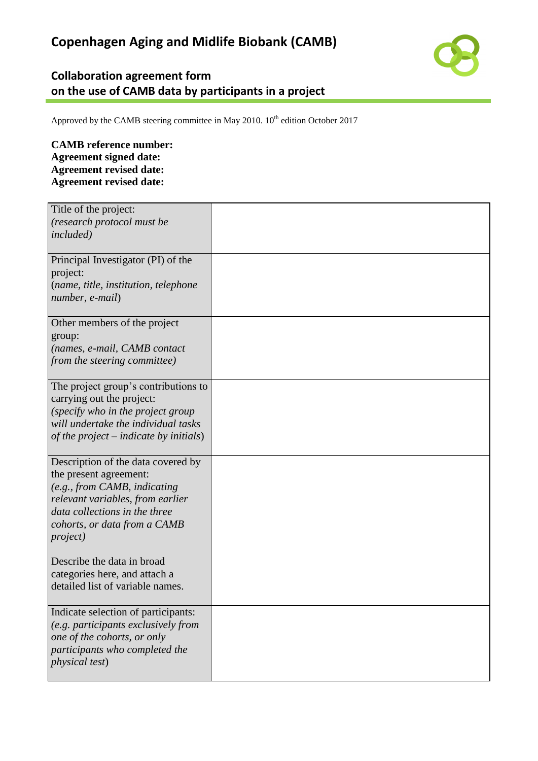## **Collaboration agreement form on the use of CAMB data by participants in a project**

Approved by the CAMB steering committee in May 2010.  $10^{th}$  edition October 2017

## **CAMB reference number: Agreement signed date: Agreement revised date: Agreement revised date:**

| Title of the project:<br>(research protocol must be<br><i>included</i> )                                                                                                                                                                                                                                                 |  |
|--------------------------------------------------------------------------------------------------------------------------------------------------------------------------------------------------------------------------------------------------------------------------------------------------------------------------|--|
| Principal Investigator (PI) of the<br>project:<br>(name, title, institution, telephone<br>number, e-mail)                                                                                                                                                                                                                |  |
| Other members of the project<br>group:<br>(names, e-mail, CAMB contact<br>from the steering committee)                                                                                                                                                                                                                   |  |
| The project group's contributions to<br>carrying out the project:<br>(specify who in the project group<br>will undertake the individual tasks<br>of the project – indicate by initials)                                                                                                                                  |  |
| Description of the data covered by<br>the present agreement:<br>(e.g., from CAMB, indicating<br>relevant variables, from earlier<br>data collections in the three<br>cohorts, or data from a CAMB<br><i>project</i> )<br>Describe the data in broad<br>categories here, and attach a<br>detailed list of variable names. |  |
| Indicate selection of participants:<br>(e.g. participants exclusively from<br>one of the cohorts, or only<br>participants who completed the<br><i>physical test</i> )                                                                                                                                                    |  |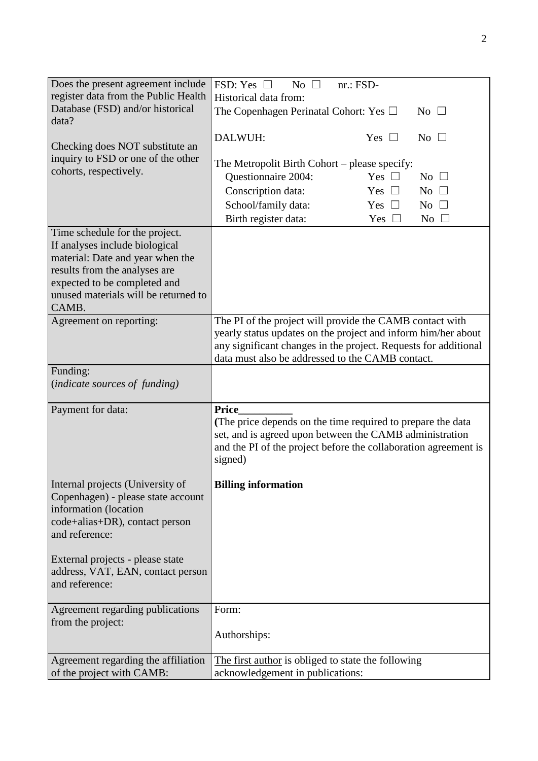| Does the present agreement include                                   | FSD: Yes $\Box$<br>No $\square$<br>$nr.: FSD-$                             |
|----------------------------------------------------------------------|----------------------------------------------------------------------------|
| register data from the Public Health                                 | Historical data from:                                                      |
| Database (FSD) and/or historical                                     | The Copenhagen Perinatal Cohort: Yes $\Box$<br>No $\square$                |
| data?                                                                |                                                                            |
| Checking does NOT substitute an                                      | DALWUH:<br>Yes $\square$<br>$No \square$                                   |
| inquiry to FSD or one of the other                                   |                                                                            |
| cohorts, respectively.                                               | The Metropolit Birth Cohort – please specify:                              |
|                                                                      | Questionnaire 2004:<br>Yes $\Box$<br>$No$ $\square$                        |
|                                                                      | Conscription data:<br>Yes $\square$<br>No $\square$                        |
|                                                                      | School/family data:<br>Yes $\square$<br>$No$ $\Box$                        |
|                                                                      | Birth register data:<br>Yes $\square$<br>$No \square$                      |
| Time schedule for the project.                                       |                                                                            |
| If analyses include biological                                       |                                                                            |
| material: Date and year when the                                     |                                                                            |
| results from the analyses are                                        |                                                                            |
| expected to be completed and<br>unused materials will be returned to |                                                                            |
| CAMB.                                                                |                                                                            |
| Agreement on reporting:                                              | The PI of the project will provide the CAMB contact with                   |
|                                                                      | yearly status updates on the project and inform him/her about              |
|                                                                      | any significant changes in the project. Requests for additional            |
|                                                                      | data must also be addressed to the CAMB contact.                           |
| Funding:                                                             |                                                                            |
| (indicate sources of funding)                                        |                                                                            |
|                                                                      |                                                                            |
| Payment for data:                                                    | <b>Price</b>                                                               |
|                                                                      | (The price depends on the time required to prepare the data                |
|                                                                      | set, and is agreed upon between the CAMB administration                    |
|                                                                      | and the PI of the project before the collaboration agreement is<br>signed) |
|                                                                      |                                                                            |
| Internal projects (University of                                     | <b>Billing information</b>                                                 |
| Copenhagen) - please state account                                   |                                                                            |
| information (location                                                |                                                                            |
| code+alias+DR), contact person                                       |                                                                            |
| and reference:                                                       |                                                                            |
|                                                                      |                                                                            |
| External projects - please state                                     |                                                                            |
| address, VAT, EAN, contact person                                    |                                                                            |
| and reference:                                                       |                                                                            |
| Agreement regarding publications                                     | Form:                                                                      |
| from the project:                                                    |                                                                            |
|                                                                      | Authorships:                                                               |
|                                                                      |                                                                            |
| Agreement regarding the affiliation                                  | The first author is obliged to state the following                         |
| of the project with CAMB:                                            | acknowledgement in publications:                                           |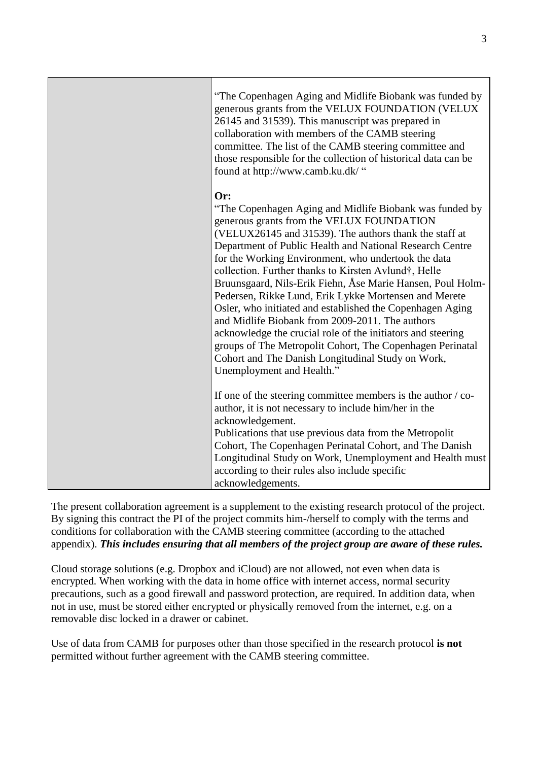| "The Copenhagen Aging and Midlife Biobank was funded by<br>generous grants from the VELUX FOUNDATION (VELUX<br>26145 and 31539). This manuscript was prepared in<br>collaboration with members of the CAMB steering<br>committee. The list of the CAMB steering committee and<br>those responsible for the collection of historical data can be<br>found at http://www.camb.ku.dk/ "                                                                                                                                                                                                                                                                                                                                                                                                                  |
|-------------------------------------------------------------------------------------------------------------------------------------------------------------------------------------------------------------------------------------------------------------------------------------------------------------------------------------------------------------------------------------------------------------------------------------------------------------------------------------------------------------------------------------------------------------------------------------------------------------------------------------------------------------------------------------------------------------------------------------------------------------------------------------------------------|
| Or:<br>"The Copenhagen Aging and Midlife Biobank was funded by<br>generous grants from the VELUX FOUNDATION<br>(VELUX26145 and 31539). The authors thank the staff at<br>Department of Public Health and National Research Centre<br>for the Working Environment, who undertook the data<br>collection. Further thanks to Kirsten Avlund†, Helle<br>Bruunsgaard, Nils-Erik Fiehn, Åse Marie Hansen, Poul Holm-<br>Pedersen, Rikke Lund, Erik Lykke Mortensen and Merete<br>Osler, who initiated and established the Copenhagen Aging<br>and Midlife Biobank from 2009-2011. The authors<br>acknowledge the crucial role of the initiators and steering<br>groups of The Metropolit Cohort, The Copenhagen Perinatal<br>Cohort and The Danish Longitudinal Study on Work,<br>Unemployment and Health." |
| If one of the steering committee members is the author / co-<br>author, it is not necessary to include him/her in the<br>acknowledgement.<br>Publications that use previous data from the Metropolit<br>Cohort, The Copenhagen Perinatal Cohort, and The Danish<br>Longitudinal Study on Work, Unemployment and Health must<br>according to their rules also include specific<br>acknowledgements.                                                                                                                                                                                                                                                                                                                                                                                                    |

The present collaboration agreement is a supplement to the existing research protocol of the project. By signing this contract the PI of the project commits him-/herself to comply with the terms and conditions for collaboration with the CAMB steering committee (according to the attached appendix). *This includes ensuring that all members of the project group are aware of these rules.*

Cloud storage solutions (e.g. Dropbox and iCloud) are not allowed, not even when data is encrypted. When working with the data in home office with internet access, normal security precautions, such as a good firewall and password protection, are required. In addition data, when not in use, must be stored either encrypted or physically removed from the internet, e.g. on a removable disc locked in a drawer or cabinet.

Use of data from CAMB for purposes other than those specified in the research protocol **is not** permitted without further agreement with the CAMB steering committee.